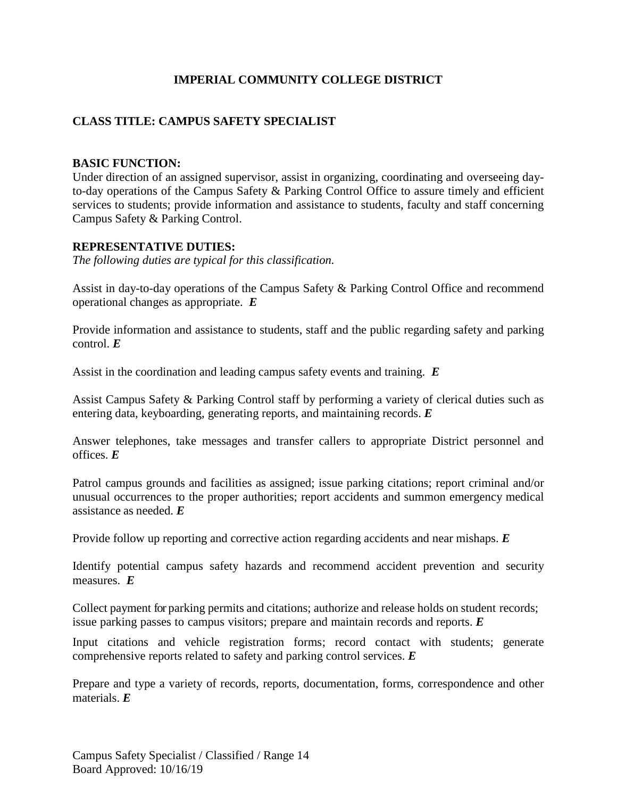## **IMPERIAL COMMUNITY COLLEGE DISTRICT**

# **CLASS TITLE: CAMPUS SAFETY SPECIALIST**

#### **BASIC FUNCTION:**

Under direction of an assigned supervisor, assist in organizing, coordinating and overseeing dayto-day operations of the Campus Safety & Parking Control Office to assure timely and efficient services to students; provide information and assistance to students, faculty and staff concerning Campus Safety & Parking Control.

#### **REPRESENTATIVE DUTIES:**

*The following duties are typical for this classification.*

Assist in day-to-day operations of the Campus Safety & Parking Control Office and recommend operational changes as appropriate. *E*

Provide information and assistance to students, staff and the public regarding safety and parking control. *E*

Assist in the coordination and leading campus safety events and training. *E*

Assist Campus Safety & Parking Control staff by performing a variety of clerical duties such as entering data, keyboarding, generating reports, and maintaining records. *E*

Answer telephones, take messages and transfer callers to appropriate District personnel and offices. *E*

Patrol campus grounds and facilities as assigned; issue parking citations; report criminal and/or unusual occurrences to the proper authorities; report accidents and summon emergency medical assistance as needed. *E*

Provide follow up reporting and corrective action regarding accidents and near mishaps. *E*

Identify potential campus safety hazards and recommend accident prevention and security measures. *E*

Collect payment for parking permits and citations; authorize and release holds on student records; issue parking passes to campus visitors; prepare and maintain records and reports. *E*

Input citations and vehicle registration forms; record contact with students; generate comprehensive reports related to safety and parking control services. *E*

Prepare and type a variety of records, reports, documentation, forms, correspondence and other materials. *E*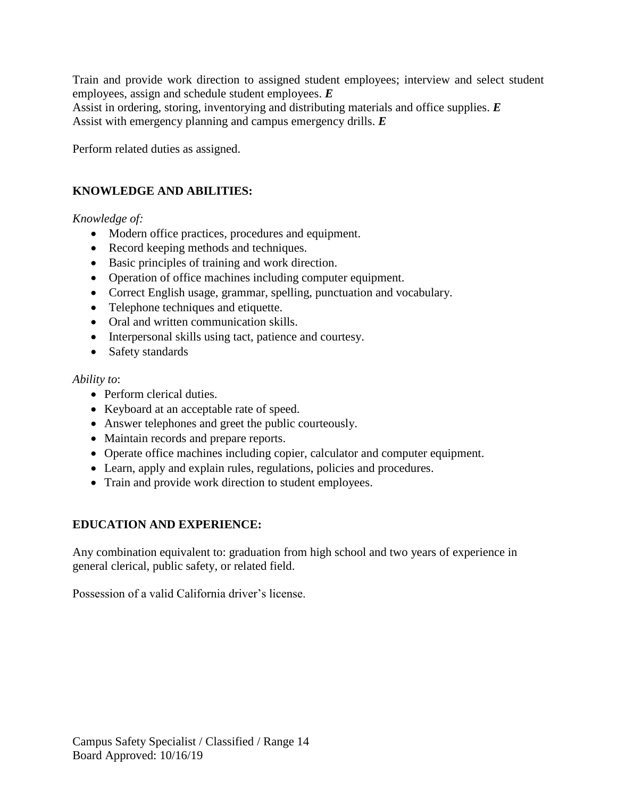Train and provide work direction to assigned student employees; interview and select student employees, assign and schedule student employees. *E* Assist in ordering, storing, inventorying and distributing materials and office supplies. *E* Assist with emergency planning and campus emergency drills. *E*

Perform related duties as assigned.

## **KNOWLEDGE AND ABILITIES:**

#### *Knowledge of:*

- Modern office practices, procedures and equipment.
- Record keeping methods and techniques.
- Basic principles of training and work direction.
- Operation of office machines including computer equipment.
- Correct English usage, grammar, spelling, punctuation and vocabulary.
- Telephone techniques and etiquette.
- Oral and written communication skills.
- Interpersonal skills using tact, patience and courtesy.
- Safety standards

#### *Ability to*:

- Perform clerical duties.
- Keyboard at an acceptable rate of speed.
- Answer telephones and greet the public courteously.
- Maintain records and prepare reports.
- Operate office machines including copier, calculator and computer equipment.
- Learn, apply and explain rules, regulations, policies and procedures.
- Train and provide work direction to student employees.

### **EDUCATION AND EXPERIENCE:**

Any combination equivalent to: graduation from high school and two years of experience in general clerical, public safety, or related field.

Possession of a valid California driver's license.